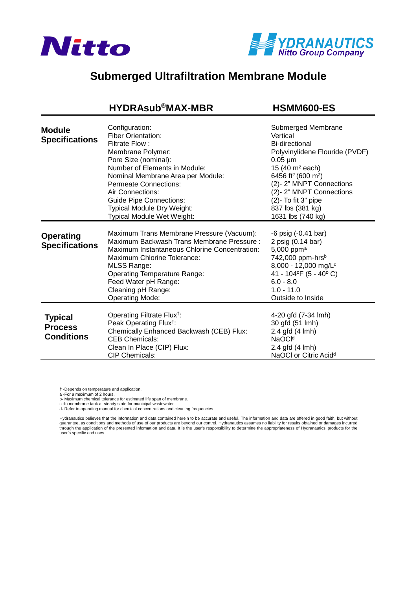



## **Submerged Ultrafiltration Membrane Module**

## **[HYDRAsub®MAX-MBR HSMM600-ES](https://www.pureaqua.com/hydrasub-max-hsmm600-es-membrane/)**

| <b>Module</b><br><b>Specifications</b>                | Configuration:<br><b>Fiber Orientation:</b><br>Filtrate Flow:<br>Membrane Polymer:<br>Pore Size (nominal):<br>Number of Elements in Module:<br>Nominal Membrane Area per Module:<br><b>Permeate Connections:</b><br>Air Connections:<br><b>Guide Pipe Connections:</b><br>Typical Module Dry Weight:<br><b>Typical Module Wet Weight:</b> | Submerged Membrane<br>Vertical<br>Bi-directional<br>Polyvinylidene Flouride (PVDF)<br>$0.05 \mu m$<br>15 (40 m <sup>2</sup> each)<br>6456 ft <sup>2</sup> (600 m <sup>2</sup> )<br>(2)-2" MNPT Connections<br>(2)-2" MNPT Connections<br>$(2)$ - To fit 3" pipe<br>837 lbs (381 kg)<br>1631 lbs (740 kg) |
|-------------------------------------------------------|-------------------------------------------------------------------------------------------------------------------------------------------------------------------------------------------------------------------------------------------------------------------------------------------------------------------------------------------|----------------------------------------------------------------------------------------------------------------------------------------------------------------------------------------------------------------------------------------------------------------------------------------------------------|
| <b>Operating</b><br><b>Specifications</b>             | Maximum Trans Membrane Pressure (Vacuum):<br>Maximum Backwash Trans Membrane Pressure:<br>Maximum Instantaneous Chlorine Concentration:<br>Maximum Chlorine Tolerance:<br><b>MLSS Range:</b><br><b>Operating Temperature Range:</b><br>Feed Water pH Range:<br>Cleaning pH Range:<br><b>Operating Mode:</b>                               | $-6$ psig $(-0.41$ bar)<br>2 psig (0.14 bar)<br>5,000 ppm <sup>a</sup><br>742,000 ppm-hrsb<br>8,000 - 12,000 mg/L <sup>c</sup><br>41 - 104°F (5 - 40°C)<br>$6.0 - 8.0$<br>$1.0 - 11.0$<br>Outside to Inside                                                                                              |
| <b>Typical</b><br><b>Process</b><br><b>Conditions</b> | Operating Filtrate Flux <sup>†</sup> :<br>Peak Operating Flux <sup>†</sup> :<br>Chemically Enhanced Backwash (CEB) Flux:<br><b>CEB Chemicals:</b><br>Clean In Place (CIP) Flux:<br><b>CIP Chemicals:</b>                                                                                                                                  | 4-20 gfd (7-34 lmh)<br>30 gfd (51 lmh)<br>2.4 gfd (4 lmh)<br>NaOC <sup>Id</sup><br>2.4 gfd (4 lmh)<br>NaOCI or Citric Acid <sup>d</sup>                                                                                                                                                                  |

† -Depends on temperature and application.

a -For a maximum of 2 hours.

b- Maximum chemical tolerance for estimated life span of membrane.

c -In membrane tank at steady state for municipal wastewater. d- Refer to operating manual for chemical concentrations and cleaning frequencies.

Hydranautics believes that the information and data contained herein to be accurate and useful. The information and data are offered in good faith, but without<br>guarantee, as conditions and methods of use of our products ar through the application of the presented information and data. It is the user's responsibility to determine the appropriateness of Hydranautics' products for the user's specific end uses.